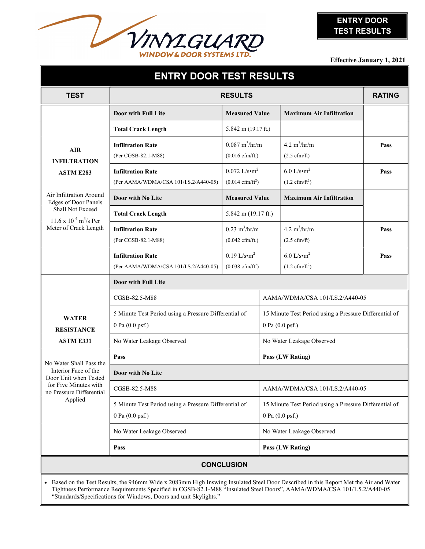

Effective January 1, 2021

| <b>ENTRY DOOR TEST RESULTS</b>                                                                                                                                                                                                                                                                                                       |                                                                          |                                                                |                                                                                     |                                                      |      |  |
|--------------------------------------------------------------------------------------------------------------------------------------------------------------------------------------------------------------------------------------------------------------------------------------------------------------------------------------|--------------------------------------------------------------------------|----------------------------------------------------------------|-------------------------------------------------------------------------------------|------------------------------------------------------|------|--|
| <b>TEST</b>                                                                                                                                                                                                                                                                                                                          | <b>RESULTS</b>                                                           |                                                                |                                                                                     | <b>RATING</b>                                        |      |  |
|                                                                                                                                                                                                                                                                                                                                      | Door with Full Lite                                                      | <b>Measured Value</b>                                          |                                                                                     | <b>Maximum Air Infiltration</b>                      |      |  |
|                                                                                                                                                                                                                                                                                                                                      | <b>Total Crack Length</b>                                                | 5.842 m $(19.17 \text{ ft.})$                                  |                                                                                     |                                                      |      |  |
| <b>AIR</b><br><b>INFILTRATION</b><br><b>ASTM E283</b><br>Air Infiltration Around<br><b>Edges of Door Panels</b><br>Shall Not Exceed<br>$11.6 \times 10^{-4}$ m <sup>3</sup> /s Per<br>Meter of Crack Length                                                                                                                          | <b>Infiltration Rate</b><br>(Per CGSB-82.1-M88)                          | $0.087 \frac{m^3}{hr/m}$<br>$(0.016 \text{ cfm/ft.})$          |                                                                                     | $4.2 \frac{m^3}{hr/m}$<br>$(2.5 \text{ cfm/ft})$     | Pass |  |
|                                                                                                                                                                                                                                                                                                                                      | <b>Infiltration Rate</b><br>(Per AAMA/WDMA/CSA 101/I.S.2/A440-05)        | $0.072$ L/s•m <sup>2</sup><br>$(0.014 \text{ cfm/ft}^2)$       |                                                                                     | $6.0$ L/s•m <sup>2</sup><br>$(1.2 \text{ cfm/ft}^2)$ | Pass |  |
|                                                                                                                                                                                                                                                                                                                                      | Door with No Lite                                                        | <b>Measured Value</b>                                          |                                                                                     | <b>Maximum Air Infiltration</b>                      |      |  |
|                                                                                                                                                                                                                                                                                                                                      | <b>Total Crack Length</b>                                                | 5.842 m (19.17 ft.)                                            |                                                                                     |                                                      |      |  |
|                                                                                                                                                                                                                                                                                                                                      | <b>Infiltration Rate</b><br>(Per CGSB-82.1-M88)                          | $0.23 \text{ m}^3/\text{hr/m}$<br>$(0.042 \text{ cfm/ft.})$    |                                                                                     | 4.2 $m^3/hr/m$<br>$(2.5 \text{ cfm/ft})$             | Pass |  |
|                                                                                                                                                                                                                                                                                                                                      | <b>Infiltration Rate</b><br>(Per AAMA/WDMA/CSA 101/I.S.2/A440-05)        | $0.19$ L/s•m <sup>2</sup><br>$(0.038 \text{ cfm}/\text{ft}^2)$ |                                                                                     | $6.0$ L/s•m <sup>2</sup><br>$(1.2 \text{ cfm/ft}^2)$ | Pass |  |
|                                                                                                                                                                                                                                                                                                                                      | Door with Full Lite                                                      |                                                                |                                                                                     |                                                      |      |  |
| <b>WATER</b><br><b>RESISTANCE</b><br><b>ASTM E331</b><br>No Water Shall Pass the<br>Interior Face of the<br>Door Unit when Tested<br>for Five Minutes with<br>no Pressure Differential<br>Applied                                                                                                                                    | CGSB-82.5-M88                                                            |                                                                |                                                                                     | AAMA/WDMA/CSA 101/I.S.2/A440-05                      |      |  |
|                                                                                                                                                                                                                                                                                                                                      | 5 Minute Test Period using a Pressure Differential of<br>0 Pa (0.0 psf.) |                                                                | 15 Minute Test Period using a Pressure Differential of<br>0 Pa (0.0 psf.)           |                                                      |      |  |
|                                                                                                                                                                                                                                                                                                                                      | No Water Leakage Observed                                                |                                                                | No Water Leakage Observed                                                           |                                                      |      |  |
|                                                                                                                                                                                                                                                                                                                                      | Pass                                                                     |                                                                |                                                                                     | Pass (LW Rating)                                     |      |  |
|                                                                                                                                                                                                                                                                                                                                      | Door with No Lite                                                        |                                                                |                                                                                     |                                                      |      |  |
|                                                                                                                                                                                                                                                                                                                                      | CGSB-82.5-M88                                                            |                                                                |                                                                                     | AAMA/WDMA/CSA 101/I.S.2/A440-05                      |      |  |
|                                                                                                                                                                                                                                                                                                                                      | 5 Minute Test Period using a Pressure Differential of<br>0 Pa (0.0 psf.) |                                                                | 15 Minute Test Period using a Pressure Differential of<br>0 Pa $(0.0 \text{ psf.})$ |                                                      |      |  |
|                                                                                                                                                                                                                                                                                                                                      | No Water Leakage Observed                                                |                                                                | No Water Leakage Observed                                                           |                                                      |      |  |
|                                                                                                                                                                                                                                                                                                                                      | Pass                                                                     |                                                                |                                                                                     | Pass (LW Rating)                                     |      |  |
| <b>CONCLUSION</b>                                                                                                                                                                                                                                                                                                                    |                                                                          |                                                                |                                                                                     |                                                      |      |  |
| • Based on the Test Results, the 946mm Wide x 2083mm High Inswing Insulated Steel Door Described in this Report Met the Air and Water<br>Tightness Performance Requirements Specified in CGSB-82.1-M88 "Insulated Steel Doors", AAMA/WDMA/CSA 101/1.5.2/A440-05<br>"Standards/Specifications for Windows, Doors and unit Skylights." |                                                                          |                                                                |                                                                                     |                                                      |      |  |